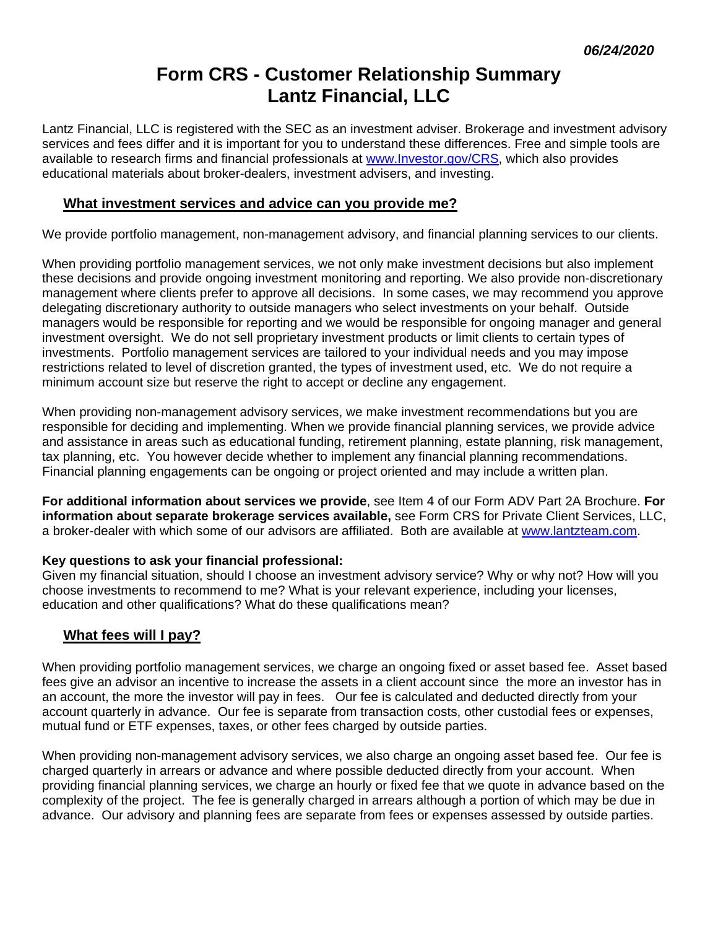# **Form CRS - Customer Relationship Summary Lantz Financial, LLC**

Lantz Financial, LLC is registered with the SEC as an investment adviser. Brokerage and investment advisory services and fees differ and it is important for you to understand these differences. Free and simple tools are available to research firms and financial professionals at www.Investor.gov/CRS, which also provides educational materials about broker-dealers, investment advisers, and investing.

## **What investment services and advice can you provide me?**

We provide portfolio management, non-management advisory, and financial planning services to our clients.

When providing portfolio management services, we not only make investment decisions but also implement these decisions and provide ongoing investment monitoring and reporting. We also provide non-discretionary management where clients prefer to approve all decisions. In some cases, we may recommend you approve delegating discretionary authority to outside managers who select investments on your behalf. Outside managers would be responsible for reporting and we would be responsible for ongoing manager and general investment oversight. We do not sell proprietary investment products or limit clients to certain types of investments. Portfolio management services are tailored to your individual needs and you may impose restrictions related to level of discretion granted, the types of investment used, etc. We do not require a minimum account size but reserve the right to accept or decline any engagement.

When providing non-management advisory services, we make investment recommendations but you are responsible for deciding and implementing. When we provide financial planning services, we provide advice and assistance in areas such as educational funding, retirement planning, estate planning, risk management, tax planning, etc. You however decide whether to implement any financial planning recommendations. Financial planning engagements can be ongoing or project oriented and may include a written plan.

**For additional information about services we provide**, see Item 4 of our Form ADV Part 2A Brochure. **For information about separate brokerage services available,** see Form CRS for Private Client Services, LLC, a broker-dealer with which some of our advisors are affiliated. Both are available at www.lantzteam.com.

#### **Key questions to ask your financial professional:**

Given my financial situation, should I choose an investment advisory service? Why or why not? How will you choose investments to recommend to me? What is your relevant experience, including your licenses, education and other qualifications? What do these qualifications mean?

# **What fees will I pay?**

When providing portfolio management services, we charge an ongoing fixed or asset based fee. Asset based fees give an advisor an incentive to increase the assets in a client account since the more an investor has in an account, the more the investor will pay in fees. Our fee is calculated and deducted directly from your account quarterly in advance. Our fee is separate from transaction costs, other custodial fees or expenses, mutual fund or ETF expenses, taxes, or other fees charged by outside parties.

When providing non-management advisory services, we also charge an ongoing asset based fee. Our fee is charged quarterly in arrears or advance and where possible deducted directly from your account. When providing financial planning services, we charge an hourly or fixed fee that we quote in advance based on the complexity of the project. The fee is generally charged in arrears although a portion of which may be due in advance. Our advisory and planning fees are separate from fees or expenses assessed by outside parties.